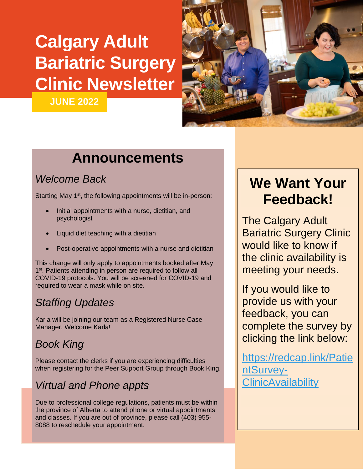# **Calgary Adult Bariatric Surgery Clinic Newsletter**

**JUNE 2022**



## **Announcements**

### *Welcome Back*

Starting May 1<sup>st</sup>, the following appointments will be in-person:

- Initial appointments with a nurse, dietitian, and psychologist
- Liquid diet teaching with a dietitian
- Post-operative appointments with a nurse and dietitian

This change will only apply to appointments booked after May 1<sup>st</sup>. Patients attending in person are required to follow all COVID-19 protocols. You will be screened for COVID-19 and required to wear a mask while on site.

### *Staffing Updates*

Karla will be joining our team as a Registered Nurse Case Manager. Welcome Karla!

### *Book King*

Please contact the clerks if you are experiencing difficulties when registering for the Peer Support Group through Book King.

### *Virtual and Phone appts*

Due to professional college regulations, patients must be within the province of Alberta to attend phone or virtual appointments and classes. If you are out of province, please call (403) 955- 8088 to reschedule your appointment.

# **We Want Your Feedback!**

The Calgary Adult Bariatric Surgery Clinic would like to know if the clinic availability is meeting your needs.

If you would like to provide us with your feedback, you can complete the survey by clicking the link below:

[https://redcap.link/Patie](https://redcap.link/PatientSurvey-ClinicAvailability) [ntSurvey-](https://redcap.link/PatientSurvey-ClinicAvailability)**[ClinicAvailability](https://redcap.link/PatientSurvey-ClinicAvailability)**